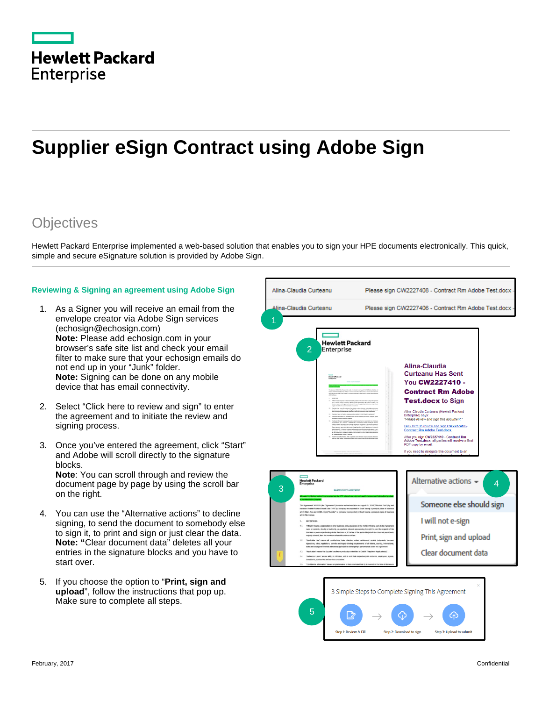|                   | <b>Hewlett Packard</b> |
|-------------------|------------------------|
| <b>Enterprise</b> |                        |

## **Supplier eSign Contract using Adobe Sign**

## **Objectives**

Hewlett Packard Enterprise implemented a web-based solution that enables you to sign your HPE documents electronically. This quick, simple and secure eSignature solution is provided by Adobe Sign.

## **Reviewing & Signing an agreement using Adobe Sign**

- 1. As a Signer you will receive an email from the envelope creator via Adobe Sign services [\(echosign@echosign.com\)](mailto:echosign@echosign.com) **Note:** Please add echosign.com in your browser's safe site list and check your email filter to make sure that your echosign emails do not end up in your "Junk" folder. **Note:** Signing can be done on any mobile device that has email connectivity.
- 2. Select "Click here to review and sign" to enter the agreement and to initiate the review and signing process.
- 3. Once you've entered the agreement, click "Start" and Adobe will scroll directly to the signature blocks. **Note**: You can scroll through and review the document page by page by using the scroll bar on the right.
- 4. You can use the "Alternative actions" to decline signing, to send the document to somebody else to sign it, to print and sign or just clear the data. **Note: "**Clear document data" deletes all your entries in the signature blocks and you have to start over.
- 5. If you choose the option to "**Print, sign and upload**", follow the instructions that pop up. Make sure to complete all steps.